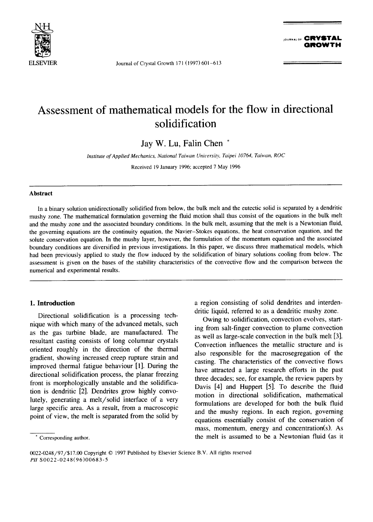

**JOURNAL OF CRYSTA** RROW

ELSEVIER Journal of Crystal Growth 171 (1997) 601-613

# **Assessment of mathematical models for the flow in directional solidification**

**Jay W. Lu, Falin Chen \*** 

*Institute of Applied Mechanics, National Taiwan University, Taipei 10764, Taiwan, ROC* 

Received 19 January 1996; accepted 7 May 1996

#### **Abstract**

In a binary solution unidirectionally solidified from below, the bulk melt and the eutectic solid is separated by a dendritic mushy zone. The mathematical formulation governing the fluid motion shall thus consist of the equations in the bulk melt and the mushy zone and the associated boundary conditions. In the bulk melt, assuming that the melt is a Newtonian fluid, the governing equations are the continuity equation, the Navier-Stokes equations, the heat conservation equation, and the solute conservation equation. In the mushy layer, however, the formulation of the momentum equation and the associated boundary conditions are diversified in previous investigations. In this paper, we discuss three mathematical models, which had been previously applied to study the flow induced by the solidification of binary solutions cooling from below. The assessment is given on the bases of the stability characteristics of the convective flow and the comparison between the numerical and experimental results.

# **1. Introduction**

Directional solidification is a processing technique with which many of the advanced metals, such as the gas turbine blade, are manufactured. The resultant casting consists of long columnar crystals oriented roughly in the direction of the thermal gradient, showing increased creep rupture strain and improved thermal fatigue behaviour [1]. During the directional solidification process, the planar freezing front is morphologically unstable and the solidification is dendritic [2]. Dendrites grow highly convolutely, generating a melt/solid interface of a very large specific area. As a result, from a macroscopic point of view, the melt is separated from the solid by a region consisting of solid dendrites and interdendritic liquid, referred to as a dendritic mushy zone.

Owing to solidification, convection evolves, starting from salt-finger convection to plume convection as well as large-scale convection in the bulk melt [3]. Convection influences the metallic structure and is also responsible for the macrosegregation of the casting. The characteristics of the convective flows have attracted a large research efforts in the past three decades; see, for example, the review papers by Davis [4] and Huppert [5]. To describe the fluid motion in directional solidification, mathematical formulations are developed for both the bulk fluid and the mushy regions. In each region, governing equations essentially consist of the conservation of mass, momentum, energy and concentration(s). As the melt is assumed to be a Newtonian fluid (as it

Corresponding author.

<sup>0022-0248/97/\$17.00</sup> Copyright © 1997 Published by Elsevier Science B.V. All rights reserved *PII* S0022-0248(96)00683-5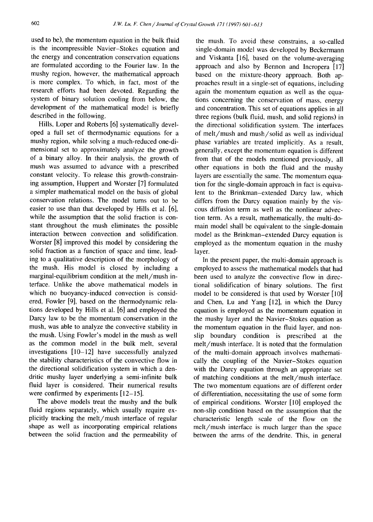used to be), the momentum equation in the bulk fluid is the incompressible Navier-Stokes equation and the energy and concentration conservation equations are formulated according to the Fourier law. In the mushy region, however, the mathematical approach is more complex. To which, in fact, most of the research efforts had been devoted. Regarding the system of binary solution cooling from below, the development of the mathematical model is briefly described in the following.

Hills, Loper and Roberts [6] systematically developed a full set of thermodynamic equations for a mushy region, while solving a much-reduced one-dimensional set to approximately analyze the growth of a binary alloy. In their analysis, the growth of mush was assumed to advance with a prescribed constant velocity. To release this growth-constraining assumption, Huppert and Worster [7] formulated a simpler mathematical model on the basis of global conservation relations. The model turns out to be easier to use than that developed by Hills et al. [6], while the assumption that the solid fraction is constant throughout the mush eliminates the possible interaction between convection and solidification. Worster [8] improved this model by considering the solid fraction as a function of space and time, leading to a qualitative description of the morphology of the mush. His model is closed by including a marginal-equilibrium condition at the melt/mush interface. Unlike the above mathematical models in which no buoyancy-induced convection is considered, Fowler [9], based on the thermodynamic relations developed by Hills et al. [6] and employed the Darcy law to be the momentum conservation in the mush, was able to analyze the convective stability in the mush. Using Fowler's model in the mush as well as the common model in the bulk melt, several investigations [10-12] have successfully analyzed the stability characteristics of the convective flow in the directional solidification system in which a dendritic mushy layer underlying a semi-infinite bulk fluid layer is considered. Their numerical results were confirmed by experiments  $[12-15]$ .

The above models treat the mushy and the bulk fluid regions separately, which usually require explicitly tracking the melt/mush interface of regular shape as well as incorporating empirical relations between the solid fraction and the permeability of

the mush. To avoid these constrains, a so-called single-domain model was developed by Beckermann and Viskanta [16], based on the volume-averaging approach and also by Bennon and Incropera [17] based on the mixture-theory approach. Both approaches result in a single-set of equations, including again the momentum equation as well as the equations concerning the conservation of mass, energy and concentration. This set of equations applies in all three regions (bulk fluid, mush, and solid regions) in the directional solidification system. The interfaces of melt/mush and mush/solid as well as individual phase variables are treated implicitly. As a result, generally, except the momentum equation is different from that of the models mentioned previously, all other equations in both the fluid and the mushy layers are essentially the same. The momentum equation for the single-domain approach in fact is equivalent to the Brinkman-extended Darcy law, which differs from the Darcy equation mainly by the viscous diffusion term as well as the nonlinear advection term. As a result, mathematically, the multi-domain model shall be equivalent to the single-domain model as the Brinkman-extended Darcy equation is employed as the momentum equation in the mushy layer.

In the present paper, the multi-domain approach is employed to assess the mathematical models that had been used to analyze the convective flow in directional solidification of binary solutions. The first model to be considered is that used by Worster [10] and Chen, Lu and Yang [12], in which the Darcy equation is employed as the momentum equation in the mushy layer and the Navier-Stokes equation as the momentum equation in the fluid layer, and nonslip boundary condition is prescribed at the melt/mush interface. It is noted that the formulation of the multi-domain approach involves mathematically the coupling of the Navier-Stokes equation with the Darcy equation through an appropriate set of matching conditions at the melt/mush interface. The two momentum equations are of different order of differentiation, necessitating the use of some form of empirical conditions. Worster [10] employed the non-slip condition based on the assumption that the characteristic length scale of the flow on the melt/mush interface is much larger than the space between the arms of the dendrite. This, in general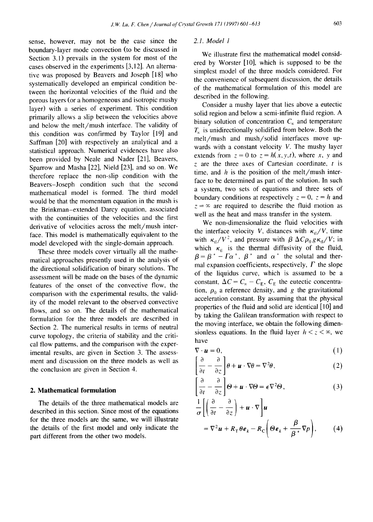sense, however, may not be the case since the boundary-layer mode convection (to be discussed in Section 3.1) prevails in the system for most of the cases observed in the experiments [3,12]. An alternative was proposed by Beavers and Joseph [18] who systematically developed an empirical condition between the horizontal velocities of the fluid and the porous layers (or a homogeneous and isotropic mushy layer) with a series of experiment. This condition primarily allows a slip between the velocities above and below the melt/mush interface. The validity of this condition was confirmed by Taylor [19] and Saffman [20] with respectively an analytical and a statistical approach. Numerical evidences have also been provided by Neale and Nader [21], Beavers, Sparrow and Masha [22], Nield [23], and so on. We therefore replace the non-slip condition with the Beavers-Joseph condition such that the second mathematical model is formed. The third model would be that the momentum equation in the mush is the Brinkman-extended Darcy equation, associated with the continuities of the velocities and the first derivative of velocities across the melt/mush interface. This model is mathematically equivalent to the model developed with the single-domain approach.

These three models cover virtually all the mathematical approaches presently used in the analysis of the directional solidification of binary solutions. The assessment will be made on the bases of the dynamic features of the onset of the convective flow, the comparison with the experimental results, the validity of the model relevant to the observed convective flows, and so on. The details of the mathematical formulation for the three models are described in Section 2. The numerical results in terms of neutral curve topology, the criteria of stability and the critical flow patterns, and the comparison with the experimental results, are given in Section 3. The assessment and discussion on the three models as well as the conclusion are given in Section 4.

# **2. Mathematical formulation**

The details of the three mathematical models are described in this section. Since most of the equations for the three models are the same, we will illustrate the details of the first model and only indicate the part different from the other two models.

## *2.1. Model 1*

We illustrate first the mathematical model considered by Worster [10], which is supposed to be the simplest model of the three models considered. For the convenience of subsequent discussion, the details of the mathematical formulation of this model are described in the following.

Consider a mushy layer that lies above a eutectic solid region and below a semi-infinite fluid region. A binary solution of concentration  $C_{\tau}$  and temperature  $T<sub>x</sub>$  is unidirectionally solidified from below. Both the melt/mush and mush/solid interfaces move upwards with a constant velocity V. The mushy layer extends from  $z = 0$  to  $z = h(x, y, t)$ , where x, y and  $z$  are the three axes of Cartesian coordinate,  $t$  is time, and  $h$  is the position of the melt/mush interface to be determined as part of the solution. In such a system, two sets of equations and three sets of boundary conditions at respectively  $z = 0$ ,  $z = h$  and  $z = \infty$  are required to describe the fluid motion as well as the heat and mass transfer in the system.

We non-dimensionalize the fluid velocities with the interface velocity *V*, distances with  $\kappa_{\text{d}}/V$ , time with  $\kappa_d/V^2$ , and pressure with  $\beta \Delta C \rho_0 g \kappa_d/V$ ; in which  $\kappa_{tl}$  is the thermal diffusivity of the fluid,  $\beta = \beta^* - \Gamma \alpha^*$ ,  $\beta^*$  and  $\alpha^*$  the solutal and thermal expansion coefficients, respectively,  $\Gamma$  the slope of the liquidus curve, which is assumed to be a constant,  $\Delta C = C_{\rm z} - C_{\rm E}$ ,  $C_{\rm E}$  the eutectic concentration,  $\rho_0$  a reference density, and g the gravitational acceleration constant. By assuming that the physical properties of the fluid and solid are identical [10] and by taking the Galilean transformation with respect to the moving interface, we obtain the following dimensionless equations. In the fluid layer  $h < z < \infty$ , we have

$$
\nabla \cdot \mathbf{u} = 0,\tag{1}
$$

$$
\left|\frac{\partial}{\partial t} - \frac{\partial}{\partial z}\right| \theta + \boldsymbol{u} \cdot \nabla \theta = \nabla^2 \theta, \tag{2}
$$

$$
\left[\frac{\partial}{\partial t} - \frac{\partial}{\partial z}\right] \Theta + \boldsymbol{u} \cdot \nabla \Theta = \epsilon \nabla^2 \Theta, \tag{3}
$$

$$
\frac{1}{\sigma} \left[ \left( \frac{\partial}{\partial t} - \frac{\partial}{\partial z} \right) + \boldsymbol{u} \cdot \nabla \right] \boldsymbol{u}
$$
  
=  $\nabla^2 \boldsymbol{u} + R_\text{T} \theta \boldsymbol{e}_k - R_\text{C} \left( \Theta \boldsymbol{e}_k + \frac{\beta}{\beta^*} \nabla p \right),$  (4)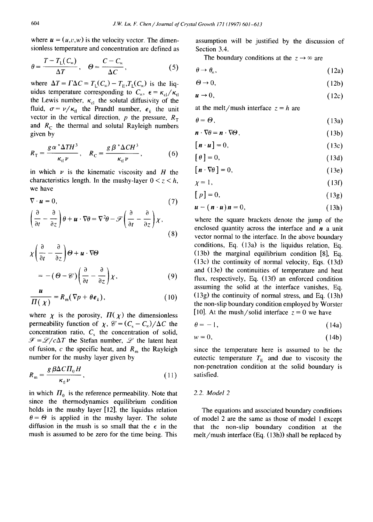where  $\mathbf{u} = (u, v, w)$  is the velocity vector. The dimensionless temperature and concentration are defined as

$$
\theta = \frac{T - T_{L}(C_{\infty})}{\Delta T}, \quad \Theta = \frac{C - C_{\infty}}{\Delta C}, \tag{5}
$$

where  $\Delta T = \Gamma \Delta C = T_{\rm L}(C_{\infty}) - T_{\rm E}T_{\rm L}(C_{\infty})$  is the liquidus temperature corresponding to  $C_{\infty}$ ,  $\epsilon = \kappa_{\rm cl}/\kappa_{\rm tl}$ the Lewis number,  $\kappa_{cl}$  the solutal diffusivity of the fluid,  $\sigma = \nu/\kappa_1$  the Prandtl number,  $e_k$  the unit vector in the vertical direction,  $p$  the pressure,  $R_T$ and  $R_C$  the thermal and solutal Rayleigh numbers given by

$$
R_{\rm T} = \frac{g \alpha^* \Delta T H^3}{\kappa_{\rm d} \nu}, \quad R_{\rm C} = \frac{g \beta^* \Delta C H^3}{\kappa_{\rm d} \nu}, \tag{6}
$$

in which  $\nu$  is the kinematic viscosity and  $H$  the characteristics length. In the mushy-layer  $0 < z < h$ , we have

$$
\nabla \cdot \mathbf{u} = 0,\tag{7}
$$

$$
\left(\frac{\partial}{\partial t} - \frac{\partial}{\partial z}\right)\theta + \boldsymbol{u} \cdot \nabla \theta = \nabla^2 \theta - \mathscr{F}\left(\frac{\partial}{\partial t} - \frac{\partial}{\partial z}\right) \chi,
$$
\n(8)

$$
\chi \left( \frac{\partial}{\partial t} - \frac{\partial}{\partial z} \right) \Theta + \boldsymbol{u} \cdot \nabla \Theta
$$
  
= -(\Theta - \mathscr{C}) \left( \frac{\partial}{\partial t} - \frac{\partial}{\partial z} \right) \chi, (9)

$$
\frac{u}{\Pi(\chi)} = R_{\rm m}(\nabla p + \theta e_k), \qquad (10)
$$

where  $\chi$  is the porosity,  $\Pi(\chi)$  the dimensionless permeability function of  $\chi$ ,  $\mathcal{C} = (C_s - C_x)/\Delta C$  the concentration ratio,  $C_s$  the concentration of solid,  $\mathscr{F}=\mathscr{L}/c\Delta T$  the Stefan number,  $\mathscr{L}$  the latent heat of fusion, c the specific heat, and  $R<sub>m</sub>$  the Rayleigh number for the mushy layer given by

$$
R_{\rm m} = \frac{g \beta \Delta C \Pi_0 H}{\kappa_{\rm u} \nu},\tag{11}
$$

in which  $\Pi_0$  is the reference permeability. Note that since the thermodynamics equilibrium condition holds in the mushy layer [12], the liquidus relation  $\theta = \Theta$  is applied in the mushy layer. The solute diffusion in the mush is so small that the  $\epsilon$  in the mush is assumed to be zero for the time being. This assumption will be justified by the discussion of Section 3.4.

The boundary conditions at the  $z \rightarrow \infty$  are

$$
\theta \to \theta_x, \qquad (12a)
$$

$$
\Theta \to 0,\tag{12b}
$$

$$
u \to 0,\tag{12c}
$$

at the melt/mush interface  $z = h$  are

$$
\theta = \Theta, \tag{13a}
$$

$$
\mathbf{n} \cdot \nabla \theta = \mathbf{n} \cdot \nabla \Theta, \tag{13b}
$$

$$
[n \cdot u] = 0,\t(13c)
$$

$$
[\theta] = 0,\t(13d)
$$

$$
[\mathbf{n} \cdot \nabla \theta] = 0,\tag{13e}
$$

$$
\chi = 1,\tag{13f}
$$

$$
[p] = 0,\t(13g)
$$

$$
u - (n \cdot u) n = 0, \tag{13h}
$$

where the square brackets denote the jump of the enclosed quantity across the interface and  $n$  a unit vector normal to the interface. In the above boundary conditions, Eq. (13a) is the liquidus relation, Eq. (13b) the marginal equilibrium condition [8], Eq. (13c) the continuity of normal velocity, Eqs. (13d) and (13e) the continuities of temperature and heat flux, respectively, Eq. (13f) an enforced condition assuming the solid at the interface vanishes, Eq. (13g) the continuity of normal stress, and Eq. (13h) the non-slip boundary condition employed by Worster [10]. At the mush/solid interface  $z = 0$  we have

$$
\theta = -1, \tag{14a}
$$

$$
w = 0,\t\t(14b)
$$

since the temperature here is assumed to be the eutectic temperature  $T<sub>E</sub>$  and due to viscosity the non-penetration condition at the solid boundary is satisfied.

### *2.2. Model 2*

The equations and associated boundary conditions of model 2 are the same as those of model 1 except that the non-slip boundary condition at the melt/mush interface (Eq. (13h)) shall be replaced by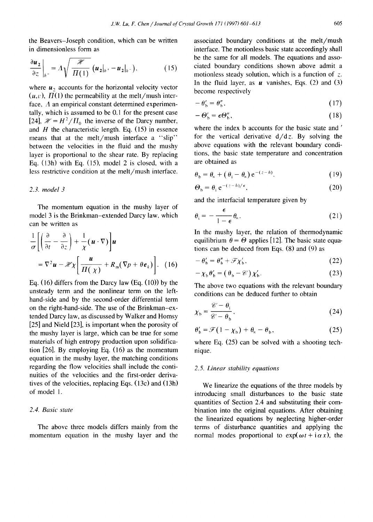the Beavers-Joseph condition, which can be written in dimensionless form as

$$
\left. \frac{\partial \boldsymbol{u}_2}{\partial z} \right|_{h^+} = A \sqrt{\frac{\mathscr{H}}{\Pi(1)}} \left( \boldsymbol{u}_2|_{h^+} - \boldsymbol{u}_2|_{h^-} \right), \tag{15}
$$

where  $\boldsymbol{u}_2$  accounts for the horizontal velocity vector  $(u, v)$ ,  $\overline{H(1)}$  the permeability at the melt/mush interface,  $\Lambda$  an empirical constant determined experimentally, which is assumed to be 0.1 for the present case [24],  $\mathcal{H} = H^2 / \Pi_0$  the inverse of the Darcy number, and  $H$  the characteristic length. Eq. (15) in essence means that at the melt/mush interface a "slip" between the velocities in the fluid and the mushy layer is proportional to the shear rate. By replacing Eq. (13h) with Eq. (15), model 2 is closed, with a less restrictive condition at the melt/mush interface.

# *2.3. model 3*

The momentum equation in the mushy layer of model 3 is the Brinkman-extended Darcy law, which can be written as

$$
\frac{1}{\sigma} \left[ \left( \frac{\partial}{\partial t} - \frac{\partial}{\partial z} \right) + \frac{1}{\chi} (u \cdot \nabla) \right] u
$$
  
=  $\nabla^2 u - \mathcal{H} \chi \left[ \frac{u}{\Pi(\chi)} + R_m (\nabla p + \theta e_k) \right].$  (16)

Eq. (16) differs from the Darcy law (Eq. (10)) by the unsteady term and the nonlinear term on the lefthand-side and by the second-order differential term on the right-hand-side. The use of the Brinkman-extended Darcy law, as discussed by Walker and Homsy [25] and Nield [23], is important when the porosity of the mushy layer is large, which can be true for some materials of high entropy production upon solidification [26]. By employing Eq. (16) as the momentum equation in the mushy layer, the matching conditions regarding the flow velocities shall include the continuities of the velocities and the first-order derivatives of the velocities, replacing Eqs. (13c) and (13h) of model 1.

# *2.4. Basic state*

The above three models differs mainly from the momentum equation in the mushy layer and the associated boundary conditions at the melt/mush interface. The motionless basic state accordingly shall be the same for all models. The equations and associated boundary conditions shown above admit a motionless steady solution, which is a function of  $z$ . In the fluid layer, as  $\boldsymbol{u}$  vanishes, Eqs. (2) and (3) become respectively

$$
-\theta'_{\rm b} = \theta''_{\rm b}.\tag{17}
$$

$$
-\Theta_{\mathfrak{b}}' = \epsilon \Theta_{\mathfrak{b}}'',\tag{18}
$$

where the index b accounts for the basic state and ' for the vertical derivative  $d/dz$ . By solving the above equations with the relevant boundary conditions, the basic state temperature and concentration are obtained as

$$
\theta_{\mathbf{b}} = \theta_{\mathbf{z}} + (\theta_{\mathbf{i}} - \theta_{\mathbf{z}}) e^{-(z-h)}.
$$
 (19)

$$
\Theta_{\mathfrak{h}} = \theta_{\mathfrak{j}} e^{-(z-h)/\epsilon},\tag{20}
$$

and the interfacial temperature given by

$$
\theta_{i} = -\frac{\epsilon}{1-\epsilon} \theta_{x}.
$$
 (21)

In the mushy layer, the relation of thermodynamic equilibrium  $\theta = \Theta$  applies [12]. The basic state equations can be deduced from Eqs. (8) and (9) as

$$
-\theta'_{\mathsf{b}} = \theta''_{\mathsf{b}} + \mathscr{F} \chi'_{\mathsf{b}},\tag{22}
$$

$$
-\chi_{\mathfrak{b}}\theta_{\mathfrak{b}}'=(\theta_{\mathfrak{b}}-\mathscr{C})\chi_{\mathfrak{b}}'.\tag{23}
$$

The above two equations with the relevant boundary conditions can be deduced further to obtain

$$
\chi_{\rm b} = \frac{\mathcal{C} - \theta_{\rm i}}{\mathcal{C} - \theta_{\rm b}}\,,\tag{24}
$$

$$
\theta'_{\mathsf{b}} = \mathscr{F}(1 - \chi_{\mathsf{b}}) + \theta_{\mathsf{c}} - \theta_{\mathsf{b}},\tag{25}
$$

where Eq.  $(25)$  can be solved with a shooting technique.

#### 2.5. Linear stability equations

We linearize the equations of the three models by introducing small disturbances to the basic state quantities of Section 2.4 and substituting their combination into the original equations. After obtaining the linearized equations by neglecting higher-order terms of disturbance quantities and applying the normal modes proportional to  $exp(\omega t + i \alpha x)$ , the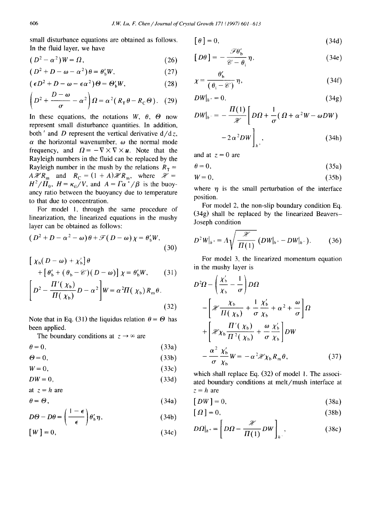small disturbance equations are obtained as follows. In the fluid layer, we have

$$
(D2 - \alpha2)W = \Omega,
$$
 (26)

$$
(D2 + D - \omega - \alpha2) \theta = \theta'_{b}W,
$$
 (27)

$$
(\epsilon D^2 + D - \omega - \epsilon \alpha^2) \Theta = \Theta_b' W,
$$
 (28)  

$$
\left(D^2 + \frac{D - \omega}{\alpha^2} - \alpha^2\right) Q = \alpha^2 (R_1 + R_2 - R_3) \tag{29}
$$

$$
\left(D^2 + \frac{D - \omega}{\sigma} - \alpha^2\right)\Omega = \alpha^2 (R_\text{T} \theta - R_\text{C} \Theta). (29)
$$

In these equations, the notations  $W$ ,  $\theta$ ,  $\Theta$  now represent small disturbance quantities. In addition, both ' and D represent the vertical derivative  $d/dz$ ,  $\alpha$  the horizontal wavenumber,  $\omega$  the normal mode frequency, and  $\Omega = -\nabla \times \nabla \times \mathbf{u}$ . Note that the Rayleigh numbers in the fluid can be replaced by the Rayleigh number in the mush by the relations  $R_T =$  $A\mathcal{H}R_m$  and  $R_c = (1 + A)\mathcal{H}R_m$ , where  $\mathcal{H} =$  $H^2/\overline{H}_0$ ,  $H = \kappa_0/V$ , and  $A = \overline{\Gamma}\alpha^2/\beta$  is the buoyancy ratio between the buoyancy due to temperature to that due to concentration.

For model 1, through the same procedure of linearization, the linearized equations in the mushy layer can be obtained as follows:

$$
(D2 + D - \alpha2 - \omega)\theta + \mathscr{F}(D - \omega)\chi = \theta'_{b}W,
$$
\n(30)

$$
\begin{aligned} \left[ \chi_{\mathfrak{b}}(D - \omega) + \chi_{\mathfrak{b}}' \right] \theta \\ + \left[ \theta_{\mathfrak{b}}' + (\theta_{\mathfrak{b}} - \mathcal{C})(D - \omega) \right] \chi = \theta_{\mathfrak{b}}' W, \end{aligned} \tag{31}
$$

$$
\left[D^2 - \frac{\Pi'(\chi_{\rm b})}{\Pi(\chi_{\rm b})}D - \alpha^2\right]W = \alpha^2 \Pi(\chi_{\rm b})R_{\rm m}\theta.
$$
\n(32)

Note that in Eq. (31) the liquidus relation  $\theta = \Theta$  has been applied.

The boundary conditions at  $z \rightarrow \infty$  are

$$
\theta = 0,\t(33a)
$$

$$
\Theta = 0,\tag{33b}
$$

$$
W = 0,\t\t(33c)
$$

$$
DW = 0,\t(33d)
$$

at 
$$
z = h
$$
 are

$$
\theta = \Theta, \tag{34a}
$$

$$
D\Theta - D\theta = \left(\frac{1-\epsilon}{\epsilon}\right)\theta'_{b}\eta, \qquad (34b)
$$

$$
[W] = 0,\t(34c)
$$

$$
[\theta] = 0,\tag{34d}
$$

$$
[D\theta] = -\frac{\mathscr{F}\theta'_{b}}{\mathscr{C} - \theta_{i}}\eta,
$$
 (34e)

$$
\chi = \frac{\theta_{\rm b}'}{(\theta_{\rm i} - \mathcal{C})} \eta, \tag{34f}
$$

$$
DW|_{h^+}=0,\t\t(34g)
$$

$$
DW|_{h^-} = -\frac{\Pi(1)}{\mathscr{H}} \left[ DA + \frac{1}{\sigma} ( \Omega + \alpha^2 W - \omega DW ) -2 \alpha^2 DW \right]_{h^+}, \tag{34h}
$$

and at  $z=0$  are

$$
\theta = 0,\t(35a)
$$

$$
W = 0,\t\t(35b)
$$

where  $\eta$  is the small perturbation of the interface position.

For model 2, the non-slip boundary condition Eq. (34g) shall be replaced by the linearized Beavers-Joseph condition

$$
D^{2}W|_{h^{+}} = A\sqrt{\frac{\mathscr{H}}{\Pi(1)}}\left(DW|_{h^{+}} - DW|_{h^{-}}\right). \tag{36}
$$

For model 3, the linearized momentum equation in the mushy layer is

$$
D^2 \Omega - \left(\frac{\chi_b'}{\chi_b} - \frac{1}{\sigma}\right) D\Omega
$$
  
\n
$$
- \left[\mathcal{H} \frac{\chi_b}{\Pi(\chi_b)} + \frac{1}{\sigma} \frac{\chi_b'}{\chi_b} + \alpha^2 + \frac{\omega}{\sigma}\right] \Omega
$$
  
\n
$$
+ \left[\mathcal{H} \chi_b \frac{\Pi'(\chi_b)}{\Pi^2(\chi_b)} + \frac{\omega}{\sigma} \frac{\chi_b'}{\chi_b}\right] DW
$$
  
\n
$$
- \frac{\alpha^2}{\sigma} \frac{\chi_b'}{\chi_b} W = -\alpha^2 \mathcal{H} \chi_b R_m \theta,
$$
 (37)

which shall replace Eq. (32) of model 1. The associated boundary conditions at melt/mush interface at  $z = h$  are

$$
[DW] = 0,\t(38a)
$$

$$
[\Omega] = 0,\t(38b)
$$

$$
D\Omega|_{h^+} = \left[ D\Omega - \frac{\mathcal{H}}{\Pi(1)} DW \right]_{h^-}, \qquad (38c)
$$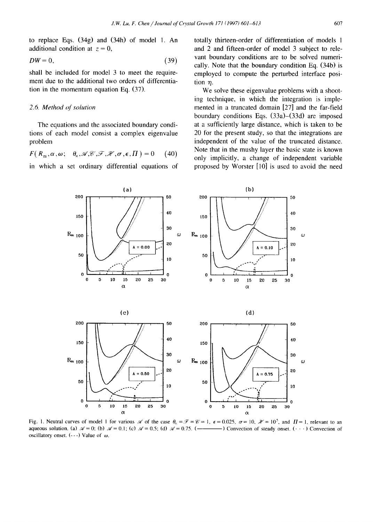to replace Eqs. (34g) and (34h) of model 1. An additional condition at  $z = 0$ ,

$$
DW = 0,\t(39)
$$

shall be included for model 3 to meet the requirement due to the additional two orders of differentiation in the momentum equation Eq. (37).

# *2.6. Method ¢~f solution*

The equations and the associated boundary conditions of each model consist a complex eigenvalue problem

$$
F(R_{\rm m}, \alpha, \omega; \quad \theta_{\rm z}, \mathcal{A}, \mathcal{C}, \mathcal{F}, \mathcal{H}, \sigma, \epsilon, \Pi) = 0 \quad (40)
$$

in which a set ordinary differential equations of

totally thirteen-order of differentiation of models 1 and 2 and fifteen-order of model 3 subject to relevant boundary conditions are to be solved numerically. Note that the boundary condition Eq. (34b) is employed to compute the perturbed interface position  $n$ .

We solve these eigenvalue problems with a shooting technique, in which the integration is implemented in a truncated domain [27] and the far-field boundary conditions Eqs. (33a)-(33d) are imposed at a sufficiently large distance, which is taken to be 20 for the present study, so that the integrations are independent of the value of the truncated distance. Note that in the mushy layer the basic state is known only implicitly, a change of independent variable proposed by Worster [10] is used to avoid the need



Fig. 1. Neutral curves of model 1 for various  $\mathcal A$  of the case  $\theta_x = \mathcal F = \mathcal E = 1$ ,  $\epsilon = 0.025$ ,  $\sigma = 10$ ,  $\mathcal K = 10^5$ , and  $\Pi = 1$ , relevant to an aqueous solution. (a)  $\mathcal{A} = 0$ ; (b)  $\mathcal{A} = 0.1$ ; (c)  $\mathcal{A} = 0.5$ ; (d)  $\mathcal{A} = 0.75$ . ( ) Convection of steady onset. (...) Convection of oscillatory onset. (---) Value of  $\omega$ .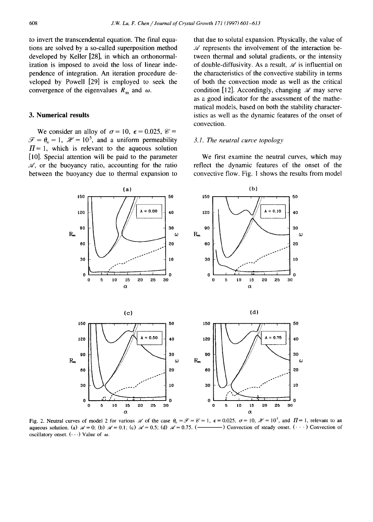to invert the transcendental equation. The final equations are solved by a so-called superposition method developed by Keller [28], in which an orthonormalization is imposed to avoid the loss of linear independence of integration. An iteration procedure developed by Powell [29] is employed to seek the convergence of the eigenvalues  $R_{\rm m}$  and  $\omega$ .

### **3. Numerical results**

We consider an alloy of  $\sigma = 10$ ,  $\epsilon = 0.025$ ,  $\mathcal{C} =$  $\mathscr{F} = \theta_{\infty} = 1$ ,  $\mathscr{H} = 10^5$ , and a uniform permeability  $\Pi = 1$ , which is relevant to the aqueous solution [10]. Special attention will be paid to the parameter  $\mathcal{A}$ , or the buoyancy ratio, accounting for the ratio between the buoyancy due to thermal expansion to

that due to solutal expansion. Physically, the value of  $\mathcal A$  represents the involvement of the interaction between thermal and solutal gradients, or the intensity of double-diffusivity. As a result,  $\mathscr A$  is influential on the characteristics of the convective stability in terms of both the convection mode as well as the critical condition [12]. Accordingly, changing  $\mathscr A$  may serve as a good indicator for the assessment of the mathematical models, based on both the stability characteristics as well as the dynamic features of the onset of convection.

# *3.1. The neutral curve topology*

We first examine the neutral curves, which may reflect the dynamic features of the onset of the convective flow. Fig. 1 shows the results from model



Fig. 2. Neutral curves of model 2 for various  $\mathcal A$  of the case  $\theta_{\alpha} = \mathcal F = \mathcal E = 1$ ,  $\epsilon = 0.025$ ,  $\sigma = 10$ ,  $\mathcal H = 10^5$ , and  $\Pi = 1$ , relevant to an aqueous solution. (a)  $\mathscr{A} = 0$ ; (b)  $\mathscr{A} = 0.1$ ; (c)  $\mathscr{A} = 0.5$ ; (d)  $\mathscr{A} = 0.75$ . ( ) Convection of steady onset. (...) Convection of oscillatory onset. (---) Value of  $\omega$ .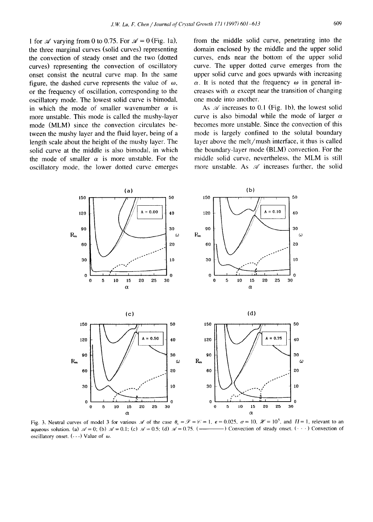1 for  $\mathcal A$  varying from 0 to 0.75. For  $\mathcal A = 0$  (Fig. 1a), the three marginal curves (solid curves) representing the convection of steady onset and the two (dotted curves) representing the convection of oscillatory onset consist the neutral curve map. In the same figure, the dashed curve represents the value of  $\omega$ , or the frequency of oscillation, corresponding to the oscillatory mode. The lowest solid curve is bimodal, in which the mode of smaller wavenumber  $\alpha$  is more unstable. This mode is called the mushy-layer mode (MLM) since the convection circulates between the mushy layer and the fluid layer, being of a length scale about the height of the mushy layer. The solid curve at the middle is also bimodal, in which the mode of smaller  $\alpha$  is more unstable. For the oscillatory mode, the lower dotted curve emerges

from the middle solid curve, penetrating into the domain enclosed by the middle and the upper solid curves, ends near the bottom of the upper solid curve. The upper dotted curve emerges from the upper solid curve and goes upwards with increasing  $\alpha$ . It is noted that the frequency  $\omega$  in general increases with  $\alpha$  except near the transition of changing one mode into another.

As  $\mathcal{A}$  increases to 0.1 (Fig. 1b), the lowest solid curve is also bimodal while the mode of larger  $\alpha$ becomes more unstable. Since the convection of this mode is largely confined to the solutal boundary layer above the melt/mush interface, it thus is called the boundary-layer mode (BLM) convection. For the middle solid curve, nevertheless, the MLM is still more unstable. As  $\mathscr A$  increases further, the solid



Fig. 3. Neutral curves of model 3 for various  $\mathcal A$  of the case  $\theta_{\alpha} = \mathcal F = \mathcal E = 1$ ,  $\epsilon = 0.025$ ,  $\sigma = 10$ ,  $\mathcal H = 10^5$ , and  $\Pi = 1$ , relevant to an aqueous solution. (a) ,~g= 0; (b) ,a¢= 0.1: (c) ,&= 0.5; (d) L¢= 0.75. (--) Convection of steady onset. (. - . ) Convection of oscillatory onset. (---) Value of  $\omega$ .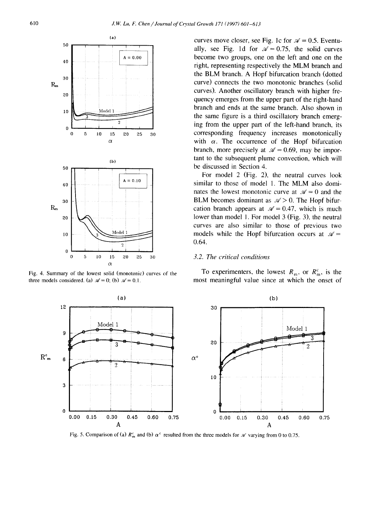

**Fig. 4. Summary of the lowest solid (monotonic) curves of the three models considered.** (a)  $\mathcal{A} = 0$ ; (b)  $\mathcal{A} = 0.1$ .

curves move closer, see Fig. 1c for  $\mathcal{A} = 0.5$ . Eventually, see Fig. 1d for  $\mathcal{A} = 0.75$ , the solid curves **become two groups, one on the left and one on the right, representing respectively the MLM branch and the BLM branch. A Hopf bifurcation branch (dotted curve) connects the two monotonic branches (solid curves). Another oscillatory branch with higher frequency emerges from the upper part of the fight-hand branch and ends at the same branch. Also shown in the same figure is a third oscillatory branch emerging from the upper part of the left-hand branch, its corresponding frequency increases monotonically**  with  $\alpha$ . The occurrence of the Hopf bifurcation branch, more precisely at  $\mathcal{A} = 0.69$ , may be impor**tant to the subsequent plume convection, which will be discussed in Section 4.** 

**For model 2 (Fig. 2), the neutral curves look similar to those of model 1. The MLM also domi**nates the lowest monotonic curve at  $\mathcal{A} = 0$  and the **BLM** becomes dominant as  $\mathcal{A} > 0$ . The Hopf bifurcation branch appears at  $\mathcal{A} = 0.47$ , which is much **lower than model 1. For model 3 (Fig. 3), the neutral curves are also similar to those of previous two**  models while the Hopf bifurcation occurs at  $\mathcal{A}$  = **0.64.** 

#### *3.2. The critical conditions*

To experimenters, the lowest  $R_{\rm m}$ , or  $R_{\rm m}^{\rm c}$ , is the **most meaningful value since at which the onset of** 



**Fig. 5. Comparison of (a)**  $R_{\text{m}}^c$  **and (b)**  $\alpha^c$  **resulted from the three models for**  $\mathcal{A}$  **varying from 0 to 0.75.**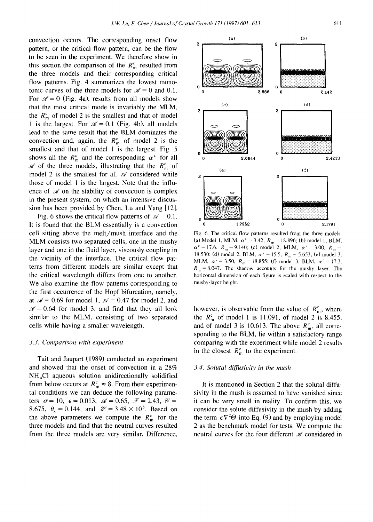convection occurs. The corresponding onset flow pattern, or the critical flow pattern, can be the flow to be seen in the experiment. We therefore show in this section the comparison of the  $R_{\rm m}^{\rm c}$  resulted from the three models and their corresponding critical flow patterns. Fig. 4 summarizes the lowest monotonic curves of the three models for  $\mathcal{A} = 0$  and 0.1. For  $\mathcal{A} = 0$  (Fig. 4a), results from all models show that the most critical mode is invariably the MLM, the  $R_{\rm m}^{\rm c}$  of model 2 is the smallest and that of model 1 is the largest. For  $\mathcal{A} = 0.1$  (Fig. 4b), all models lead to the same result that the BLM dominates the convection and, again, the  $R_{m}^{c}$  of model 2 is the smallest and that of model 1 is the largest. Fig. 5 shows all the  $R_{\rm m}^{\rm c}$  and the corresponding  $\alpha^{\rm c}$  for all  $\mathscr A$  of the three models, illustrating that the  $R_{\rm m}^{\rm c}$  of model 2 is the smallest for all  $\mathcal A$  considered while those of model 1 is the largest. Note that the influence of  $\mathscr A$  on the stability of convection is complex in the present system, on which an intensive discussion has been provided by Chen, Lu and Yang [12].

Fig. 6 shows the critical flow patterns of  $\mathcal{A} = 0.1$ . It is found that the BLM essentially is a convection cell sitting above the melt/mush interface and the MLM consists two separated cells, one in the mushy layer and one in the fluid layer, viscously coupling in the vicinity of the interface. The critical flow patterns from different models are similar except that the critical wavelength differs from one to another. We also examine the flow patterns corresponding to the first occurrence of the Hopf bifurcation, namely, at  $\mathcal{A} = 0.69$  for model 1,  $\mathcal{A} = 0.47$  for model 2, and  $\mathcal{A} = 0.64$  for model 3, and find that they all look similar to the MLM, consisting of two separated cells while having a smaller wavelength.

#### *3.3. Comparison with experiment*

Tait and Jaupart (1989) conducted an experiment and showed that the onset of convection in a 28%  $NH<sub>A</sub>Cl$  aqueous solution unidirectionally solidified from below occurs at  $R_m^c \approx 8$ . From their experimental conditions we can deduce the following parameters  $\sigma = 10$ ,  $\epsilon = 0.013$ ,  $\mathscr{A} = 0.65$ ,  $\mathscr{F} = 2.43$ ,  $\mathscr{C} =$ 8.675,  $\theta_{\rm z} = 0.144$ , and  $\mathcal{H} = 3.48 \times 10^6$ . Based on the above parameters we compute the  $R_{\rm m}^{\rm c}$  for the three models and find that the neutral curves resulted from the three models are very similar. Difference, mushy-layer height. however, is observable from the value of  $R_{\rm m}^{\rm c}$ , where

the  $R_{\rm m}^{\rm c}$  of model 1 is 11.091, of model 2 is 8.455, and of model 3 is 10.613. The above  $R_{\rm m}^{\rm c}$ , all corresponding to the BLM, lie within a satisfactory range comparing with the experiment while model 2 results in the closest  $R_{m}^{c}$  to the experiment.

# 3.4. Solutal diffusivity in the mush

It is mentioned in Section 2 that the solutal diffusivity in the mush is assumed to have vanished since it can be very small in reality. To confirm this, we consider the solute diffusivity in the mush by adding the term  $\epsilon \nabla^2 \Theta$  into Eq. (9) and by employing model 2 as the benchmark model for tests. We compute the neutral curves for the four different  $\mathscr A$  considered in



0 **2.856** 

0 2.0944

1.7952

2

2

2

Ő

 $\overline{c}$ 

(a)

10 **<sup>o</sup>**

(c)

 $\smash{\cup}$ 

(e)

o o

 $\overline{2}$ 

2

(b)

0 2.142

(d)

::::::::::::::::::::::::::::::::::::::::::::::::::::::::::::::::: • ;.:.:.:,:.:.:.:.:. / .:.:.:.:.:.:.:.:.:.: :.:.;.:,:.:.:,:.:.: : 0 .......... "'' ........... ' ..... 0 2.4213 (f)

0 2.1791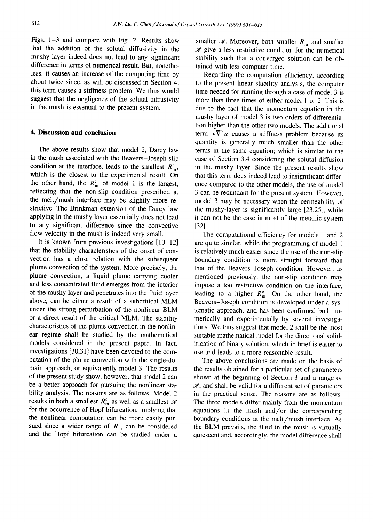Figs. 1-3 and compare with Fig. 2. Results show that the addition of the solutal diffusivity in the mushy layer indeed does not lead to any significant difference in terms of numerical result. But, nonetheless, it causes an increase of the computing time by about twice since, as will be discussed in Section 4, this term causes a stiffness problem. We thus would suggest that the negligence of the solutal diffusivity in the mush is essential to the present system.

#### **4. Discussion and conclusion**

The above results show that model 2, Darcy law in the mush associated with the Beavers-Joseph slip condition at the interface, leads to the smallest  $R_m^c$ , which is the closest to the experimental result. On the other hand, the  $R_{m}^{c}$  of model 1 is the largest, reflecting that the non-slip condition prescribed at the melt/mush interface may be slightly more restrictive. The Brinkman extension of the Darcy law applying in the mushy layer essentially does not lead to any significant difference since the convective flow velocity in the mush is indeed very small.

It is known from previous investigations [10-12] that the stability characteristics of the onset of convection has a close relation with the subsequent plume convection of the system. More precisely, the plume convection, a liquid plume carrying cooler and less concentrated fluid emerges from the interior of the mushy layer and penetrates into the fluid layer above, can be either a result of a subcritical MLM under the strong perturbation of the nonlinear BLM or a direct result of the critical MLM. The stability characteristics of the plume convection in the nonlinear regime shall be studied by the mathematical models considered in the present paper. In fact, investigations [30,31] have been devoted to the computation of the plume convection with the single-domain approach, or equivalently model 3. The results of the present study show, however, that model 2 can be a better approach for pursuing the nonlinear stability analysis. The reasons are as follows. Model 2 results in both a smallest  $R_m^c$  as well as a smallest  $\mathcal A$ for the occurrence of Hopf bifurcation, implying that the nonlinear computation can be more easily pursued since a wider range of  $R<sub>m</sub>$  can be considered and the Hopf bifurcation can be studied under a

smaller  $\mathcal{A}$ . Moreover, both smaller  $R_{\text{m}}$  and smaller  $\mathscr A$  give a less restrictive condition for the numerical stability such that a converged solution can be obtained with less computer time.

Regarding the computation efficiency, according to the present linear stability analysis, the computer time needed for running through a case of model 3 is more than three times of either model 1 or 2. This is due to the fact that the momentum equation in the mushy layer of model 3 is two orders of differentiation higher than the other two models. The additional term  $v\nabla^2$ **u** causes a stiffness problem because its quantity is generally much smaller than the other terms in the same equation; which is similar to the case of Section 3.4 considering the solutal diffusion in the mushy layer. Since the present results show that this term does indeed lead to insignificant difference compared to the other models, the use of model 3 can be redundant for the present system. However, model 3 may be necessary when the permeability of the mushy-layer is significantly large [23,25], while it can not be the case in most of the metallic system [32].

The computational efficiency for models I and 2 are quite similar, while the programming of model I is relatively much easier since the use of the non-slip boundary condition is more straight forward than that of the Beavers-Joseph condition. However, as mentioned previously, the non-slip condition may impose a too restrictive condition on the interface, leading to a higher  $R_{\text{m}}^{\text{c}}$ . On the other hand, the Beavers-Joseph condition is developed under a systematic approach, and has been confirmed both numerically and experimentally by several investigations. We thus suggest that model 2 shall be the most suitable mathematical model for the directional solidification of binary solution, which in brief is easier to use and leads to a more reasonable result.

The above conclusions are made on the basis of the results obtained for a particular set of parameters shown at the beginning of Section 3 and a range of  $\mathcal{A}$ , and shall be valid for a different set of parameters in the practical sense. The reasons are as follows. The three models differ mainly from the momentum equations in the mush and/or the corresponding boundary conditions at the melt/mush interface. As the BLM prevails, the fluid in the mush is virtually quiescent and, accordingly, the model difference shall